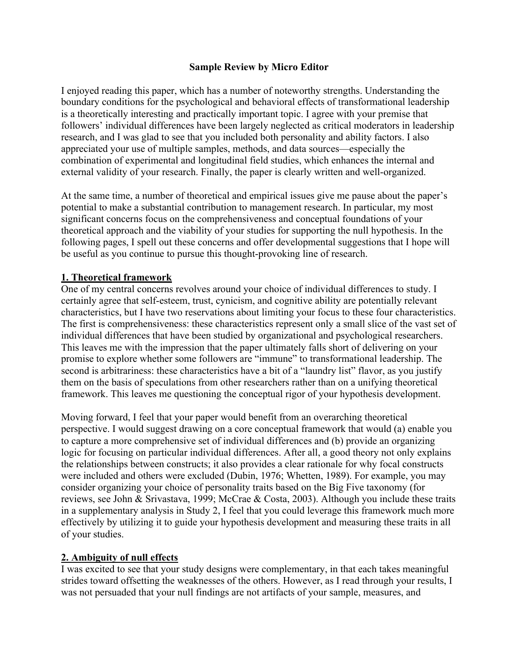I enjoyed reading this paper, which has a number of noteworthy strengths. Understanding the boundary conditions for the psychological and behavioral effects of transformational leadership is a theoretically interesting and practically important topic. I agree with your premise that followers' individual differences have been largely neglected as critical moderators in leadership research, and I was glad to see that you included both personality and ability factors. I also appreciated your use of multiple samples, methods, and data sources—especially the combination of experimental and longitudinal field studies, which enhances the internal and external validity of your research. Finally, the paper is clearly written and well-organized.

At the same time, a number of theoretical and empirical issues give me pause about the paper's potential to make a substantial contribution to management research. In particular, my most significant concerns focus on the comprehensiveness and conceptual foundations of your theoretical approach and the viability of your studies for supporting the null hypothesis. In the following pages, I spell out these concerns and offer developmental suggestions that I hope will be useful as you continue to pursue this thought-provoking line of research.

## **1. Theoretical framework**

One of my central concerns revolves around your choice of individual differences to study. I certainly agree that self-esteem, trust, cynicism, and cognitive ability are potentially relevant characteristics, but I have two reservations about limiting your focus to these four characteristics. The first is comprehensiveness: these characteristics represent only a small slice of the vast set of individual differences that have been studied by organizational and psychological researchers. This leaves me with the impression that the paper ultimately falls short of delivering on your promise to explore whether some followers are "immune" to transformational leadership. The second is arbitrariness: these characteristics have a bit of a "laundry list" flavor, as you justify them on the basis of speculations from other researchers rather than on a unifying theoretical framework. This leaves me questioning the conceptual rigor of your hypothesis development.

Moving forward, I feel that your paper would benefit from an overarching theoretical perspective. I would suggest drawing on a core conceptual framework that would (a) enable you to capture a more comprehensive set of individual differences and (b) provide an organizing logic for focusing on particular individual differences. After all, a good theory not only explains the relationships between constructs; it also provides a clear rationale for why focal constructs were included and others were excluded (Dubin, 1976; Whetten, 1989). For example, you may consider organizing your choice of personality traits based on the Big Five taxonomy (for reviews, see John & Srivastava, 1999; McCrae & Costa, 2003). Although you include these traits in a supplementary analysis in Study 2, I feel that you could leverage this framework much more effectively by utilizing it to guide your hypothesis development and measuring these traits in all of your studies.

#### **2. Ambiguity of null effects**

I was excited to see that your study designs were complementary, in that each takes meaningful strides toward offsetting the weaknesses of the others. However, as I read through your results, I was not persuaded that your null findings are not artifacts of your sample, measures, and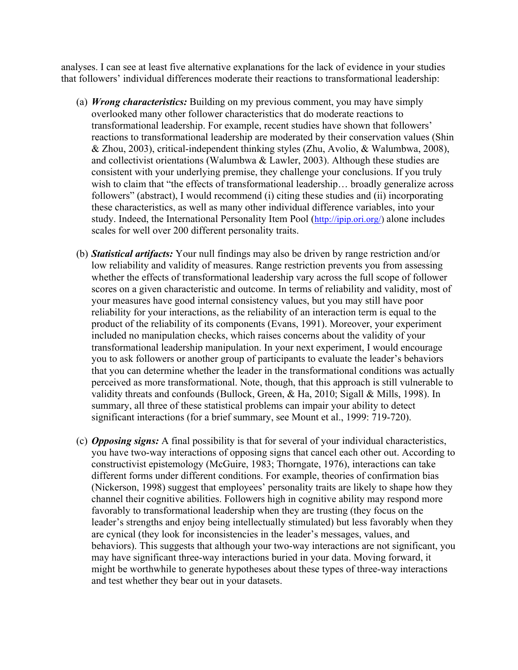analyses. I can see at least five alternative explanations for the lack of evidence in your studies that followers' individual differences moderate their reactions to transformational leadership:

- (a) *Wrong characteristics:* Building on my previous comment, you may have simply overlooked many other follower characteristics that do moderate reactions to transformational leadership. For example, recent studies have shown that followers' reactions to transformational leadership are moderated by their conservation values (Shin & Zhou, 2003), critical-independent thinking styles (Zhu, Avolio, & Walumbwa, 2008), and collectivist orientations (Walumbwa & Lawler, 2003). Although these studies are consistent with your underlying premise, they challenge your conclusions. If you truly wish to claim that "the effects of transformational leadership... broadly generalize across followers" (abstract), I would recommend (i) citing these studies and (ii) incorporating these characteristics, as well as many other individual difference variables, into your study. Indeed, the International Personality Item Pool (http://ipip.ori.org/) alone includes scales for well over 200 different personality traits.
- (b) *Statistical artifacts:* Your null findings may also be driven by range restriction and/or low reliability and validity of measures. Range restriction prevents you from assessing whether the effects of transformational leadership vary across the full scope of follower scores on a given characteristic and outcome. In terms of reliability and validity, most of your measures have good internal consistency values, but you may still have poor reliability for your interactions, as the reliability of an interaction term is equal to the product of the reliability of its components (Evans, 1991). Moreover, your experiment included no manipulation checks, which raises concerns about the validity of your transformational leadership manipulation. In your next experiment, I would encourage you to ask followers or another group of participants to evaluate the leader's behaviors that you can determine whether the leader in the transformational conditions was actually perceived as more transformational. Note, though, that this approach is still vulnerable to validity threats and confounds (Bullock, Green, & Ha, 2010; Sigall & Mills, 1998). In summary, all three of these statistical problems can impair your ability to detect significant interactions (for a brief summary, see Mount et al., 1999: 719-720).
- (c) *Opposing signs:* A final possibility is that for several of your individual characteristics, you have two-way interactions of opposing signs that cancel each other out. According to constructivist epistemology (McGuire, 1983; Thorngate, 1976), interactions can take different forms under different conditions. For example, theories of confirmation bias (Nickerson, 1998) suggest that employees' personality traits are likely to shape how they channel their cognitive abilities. Followers high in cognitive ability may respond more favorably to transformational leadership when they are trusting (they focus on the leader's strengths and enjoy being intellectually stimulated) but less favorably when they are cynical (they look for inconsistencies in the leader's messages, values, and behaviors). This suggests that although your two-way interactions are not significant, you may have significant three-way interactions buried in your data. Moving forward, it might be worthwhile to generate hypotheses about these types of three-way interactions and test whether they bear out in your datasets.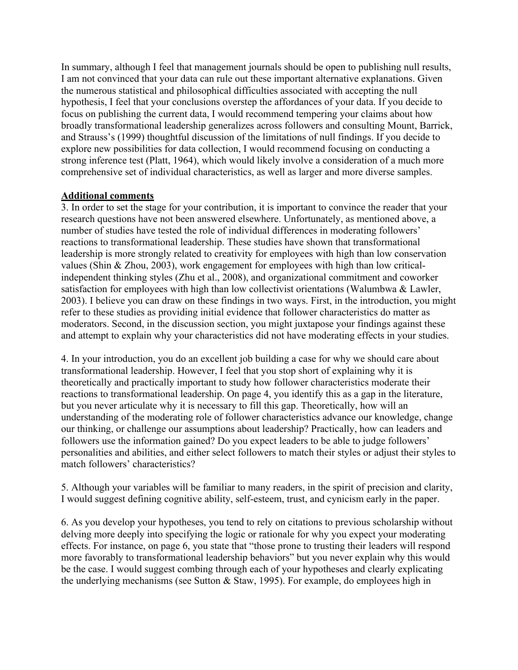In summary, although I feel that management journals should be open to publishing null results, I am not convinced that your data can rule out these important alternative explanations. Given the numerous statistical and philosophical difficulties associated with accepting the null hypothesis, I feel that your conclusions overstep the affordances of your data. If you decide to focus on publishing the current data, I would recommend tempering your claims about how broadly transformational leadership generalizes across followers and consulting Mount, Barrick, and Strauss's (1999) thoughtful discussion of the limitations of null findings. If you decide to explore new possibilities for data collection, I would recommend focusing on conducting a strong inference test (Platt, 1964), which would likely involve a consideration of a much more comprehensive set of individual characteristics, as well as larger and more diverse samples.

# **Additional comments**

3. In order to set the stage for your contribution, it is important to convince the reader that your research questions have not been answered elsewhere. Unfortunately, as mentioned above, a number of studies have tested the role of individual differences in moderating followers' reactions to transformational leadership. These studies have shown that transformational leadership is more strongly related to creativity for employees with high than low conservation values (Shin & Zhou, 2003), work engagement for employees with high than low criticalindependent thinking styles (Zhu et al., 2008), and organizational commitment and coworker satisfaction for employees with high than low collectivist orientations (Walumbwa & Lawler, 2003). I believe you can draw on these findings in two ways. First, in the introduction, you might refer to these studies as providing initial evidence that follower characteristics do matter as moderators. Second, in the discussion section, you might juxtapose your findings against these and attempt to explain why your characteristics did not have moderating effects in your studies.

4. In your introduction, you do an excellent job building a case for why we should care about transformational leadership. However, I feel that you stop short of explaining why it is theoretically and practically important to study how follower characteristics moderate their reactions to transformational leadership. On page 4, you identify this as a gap in the literature, but you never articulate why it is necessary to fill this gap. Theoretically, how will an understanding of the moderating role of follower characteristics advance our knowledge, change our thinking, or challenge our assumptions about leadership? Practically, how can leaders and followers use the information gained? Do you expect leaders to be able to judge followers' personalities and abilities, and either select followers to match their styles or adjust their styles to match followers' characteristics?

5. Although your variables will be familiar to many readers, in the spirit of precision and clarity, I would suggest defining cognitive ability, self-esteem, trust, and cynicism early in the paper.

6. As you develop your hypotheses, you tend to rely on citations to previous scholarship without delving more deeply into specifying the logic or rationale for why you expect your moderating effects. For instance, on page 6, you state that "those prone to trusting their leaders will respond more favorably to transformational leadership behaviors" but you never explain why this would be the case. I would suggest combing through each of your hypotheses and clearly explicating the underlying mechanisms (see Sutton & Staw, 1995). For example, do employees high in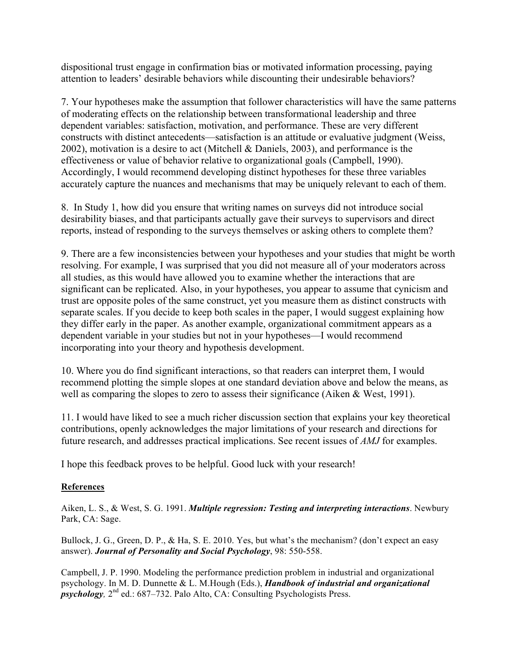dispositional trust engage in confirmation bias or motivated information processing, paying attention to leaders' desirable behaviors while discounting their undesirable behaviors?

7. Your hypotheses make the assumption that follower characteristics will have the same patterns of moderating effects on the relationship between transformational leadership and three dependent variables: satisfaction, motivation, and performance. These are very different constructs with distinct antecedents—satisfaction is an attitude or evaluative judgment (Weiss, 2002), motivation is a desire to act (Mitchell & Daniels, 2003), and performance is the effectiveness or value of behavior relative to organizational goals (Campbell, 1990). Accordingly, I would recommend developing distinct hypotheses for these three variables accurately capture the nuances and mechanisms that may be uniquely relevant to each of them.

8. In Study 1, how did you ensure that writing names on surveys did not introduce social desirability biases, and that participants actually gave their surveys to supervisors and direct reports, instead of responding to the surveys themselves or asking others to complete them?

9. There are a few inconsistencies between your hypotheses and your studies that might be worth resolving. For example, I was surprised that you did not measure all of your moderators across all studies, as this would have allowed you to examine whether the interactions that are significant can be replicated. Also, in your hypotheses, you appear to assume that cynicism and trust are opposite poles of the same construct, yet you measure them as distinct constructs with separate scales. If you decide to keep both scales in the paper, I would suggest explaining how they differ early in the paper. As another example, organizational commitment appears as a dependent variable in your studies but not in your hypotheses—I would recommend incorporating into your theory and hypothesis development.

10. Where you do find significant interactions, so that readers can interpret them, I would recommend plotting the simple slopes at one standard deviation above and below the means, as well as comparing the slopes to zero to assess their significance (Aiken & West, 1991).

11. I would have liked to see a much richer discussion section that explains your key theoretical contributions, openly acknowledges the major limitations of your research and directions for future research, and addresses practical implications. See recent issues of *AMJ* for examples.

I hope this feedback proves to be helpful. Good luck with your research!

#### **References**

Aiken, L. S., & West, S. G. 1991. *Multiple regression: Testing and interpreting interactions*. Newbury Park, CA: Sage.

Bullock, J. G., Green, D. P., & Ha, S. E. 2010. Yes, but what's the mechanism? (don't expect an easy answer). *Journal of Personality and Social Psychology*, 98: 550-558.

Campbell, J. P. 1990. Modeling the performance prediction problem in industrial and organizational psychology. In M. D. Dunnette & L. M.Hough (Eds.), *Handbook of industrial and organizational psychology*,  $2^{nd}$  ed.: 687–732. Palo Alto, CA: Consulting Psychologists Press.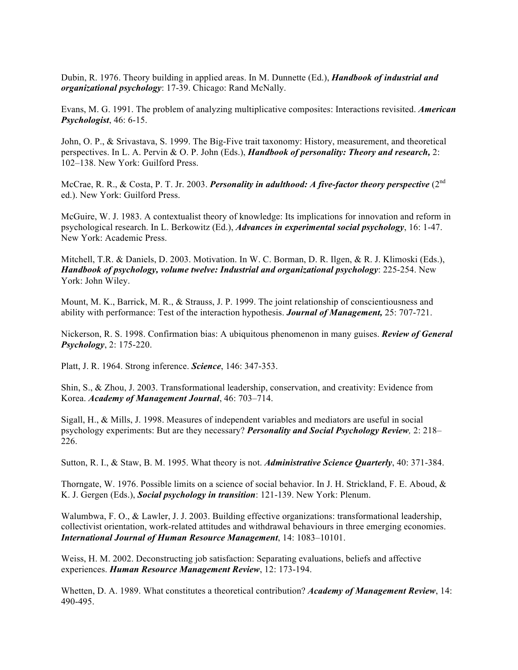Dubin, R. 1976. Theory building in applied areas. In M. Dunnette (Ed.), *Handbook of industrial and organizational psychology*: 17-39. Chicago: Rand McNally.

Evans, M. G. 1991. The problem of analyzing multiplicative composites: Interactions revisited. *American Psychologist*, 46: 6-15.

John, O. P., & Srivastava, S. 1999. The Big-Five trait taxonomy: History, measurement, and theoretical perspectives. In L. A. Pervin & O. P. John (Eds.), *Handbook of personality: Theory and research,* 2: 102–138. New York: Guilford Press.

McCrae, R. R., & Costa, P. T. Jr. 2003. *Personality in adulthood: A five-factor theory perspective* (2<sup>nd</sup> ed.). New York: Guilford Press.

McGuire, W. J. 1983. A contextualist theory of knowledge: Its implications for innovation and reform in psychological research. In L. Berkowitz (Ed.), *Advances in experimental social psychology*, 16: 1-47. New York: Academic Press.

Mitchell, T.R. & Daniels, D. 2003. Motivation. In W. C. Borman, D. R. Ilgen, & R. J. Klimoski (Eds.), *Handbook of psychology, volume twelve: Industrial and organizational psychology*: 225-254. New York: John Wiley.

Mount, M. K., Barrick, M. R., & Strauss, J. P. 1999. The joint relationship of conscientiousness and ability with performance: Test of the interaction hypothesis. *Journal of Management,* 25: 707-721.

Nickerson, R. S. 1998. Confirmation bias: A ubiquitous phenomenon in many guises. *Review of General Psychology*, 2: 175-220.

Platt, J. R. 1964. Strong inference. *Science*, 146: 347-353.

Shin, S., & Zhou, J. 2003. Transformational leadership, conservation, and creativity: Evidence from Korea. *Academy of Management Journal*, 46: 703–714.

Sigall, H., & Mills, J. 1998. Measures of independent variables and mediators are useful in social psychology experiments: But are they necessary? *Personality and Social Psychology Review,* 2: 218– 226.

Sutton, R. I., & Staw, B. M. 1995. What theory is not. *Administrative Science Quarterly*, 40: 371-384.

Thorngate, W. 1976. Possible limits on a science of social behavior. In J. H. Strickland, F. E. Aboud, & K. J. Gergen (Eds.), *Social psychology in transition*: 121-139. New York: Plenum.

Walumbwa, F. O., & Lawler, J. J. 2003. Building effective organizations: transformational leadership, collectivist orientation, work-related attitudes and withdrawal behaviours in three emerging economies. *International Journal of Human Resource Management*, 14: 1083–10101.

Weiss, H. M. 2002. Deconstructing job satisfaction: Separating evaluations, beliefs and affective experiences. *Human Resource Management Review*, 12: 173-194.

Whetten, D. A. 1989. What constitutes a theoretical contribution? *Academy of Management Review*, 14: 490-495.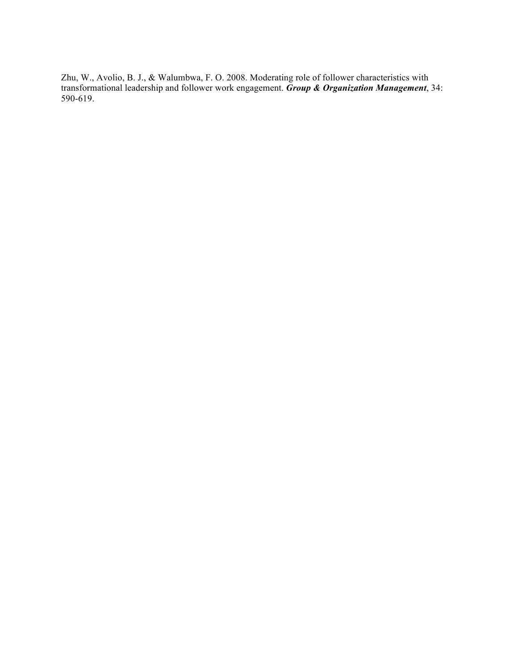Zhu, W., Avolio, B. J., & Walumbwa, F. O. 2008. Moderating role of follower characteristics with transformational leadership and follower work engagement. *Group & Organization Management*, 34: 590-619.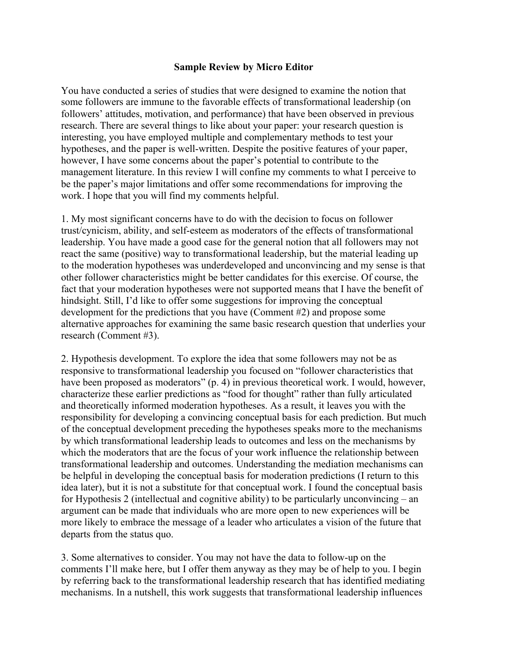You have conducted a series of studies that were designed to examine the notion that some followers are immune to the favorable effects of transformational leadership (on followers' attitudes, motivation, and performance) that have been observed in previous research. There are several things to like about your paper: your research question is interesting, you have employed multiple and complementary methods to test your hypotheses, and the paper is well-written. Despite the positive features of your paper, however, I have some concerns about the paper's potential to contribute to the management literature. In this review I will confine my comments to what I perceive to be the paper's major limitations and offer some recommendations for improving the work. I hope that you will find my comments helpful.

1. My most significant concerns have to do with the decision to focus on follower trust/cynicism, ability, and self-esteem as moderators of the effects of transformational leadership. You have made a good case for the general notion that all followers may not react the same (positive) way to transformational leadership, but the material leading up to the moderation hypotheses was underdeveloped and unconvincing and my sense is that other follower characteristics might be better candidates for this exercise. Of course, the fact that your moderation hypotheses were not supported means that I have the benefit of hindsight. Still, I'd like to offer some suggestions for improving the conceptual development for the predictions that you have (Comment #2) and propose some alternative approaches for examining the same basic research question that underlies your research (Comment #3).

2. Hypothesis development. To explore the idea that some followers may not be as responsive to transformational leadership you focused on "follower characteristics that have been proposed as moderators" (p. 4) in previous theoretical work. I would, however, characterize these earlier predictions as "food for thought" rather than fully articulated and theoretically informed moderation hypotheses. As a result, it leaves you with the responsibility for developing a convincing conceptual basis for each prediction. But much of the conceptual development preceding the hypotheses speaks more to the mechanisms by which transformational leadership leads to outcomes and less on the mechanisms by which the moderators that are the focus of your work influence the relationship between transformational leadership and outcomes. Understanding the mediation mechanisms can be helpful in developing the conceptual basis for moderation predictions (I return to this idea later), but it is not a substitute for that conceptual work. I found the conceptual basis for Hypothesis 2 (intellectual and cognitive ability) to be particularly unconvincing – an argument can be made that individuals who are more open to new experiences will be more likely to embrace the message of a leader who articulates a vision of the future that departs from the status quo.

3. Some alternatives to consider. You may not have the data to follow-up on the comments I'll make here, but I offer them anyway as they may be of help to you. I begin by referring back to the transformational leadership research that has identified mediating mechanisms. In a nutshell, this work suggests that transformational leadership influences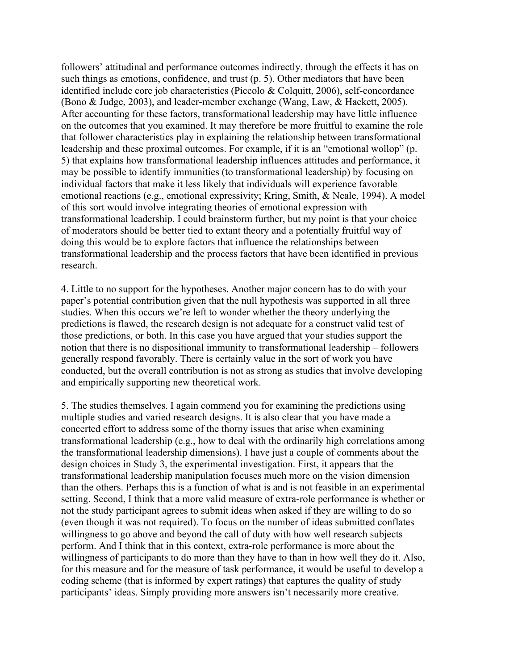followers' attitudinal and performance outcomes indirectly, through the effects it has on such things as emotions, confidence, and trust (p. 5). Other mediators that have been identified include core job characteristics (Piccolo & Colquitt, 2006), self-concordance (Bono & Judge, 2003), and leader-member exchange (Wang, Law, & Hackett, 2005). After accounting for these factors, transformational leadership may have little influence on the outcomes that you examined. It may therefore be more fruitful to examine the role that follower characteristics play in explaining the relationship between transformational leadership and these proximal outcomes. For example, if it is an "emotional wollop" (p. 5) that explains how transformational leadership influences attitudes and performance, it may be possible to identify immunities (to transformational leadership) by focusing on individual factors that make it less likely that individuals will experience favorable emotional reactions (e.g., emotional expressivity; Kring, Smith, & Neale, 1994). A model of this sort would involve integrating theories of emotional expression with transformational leadership. I could brainstorm further, but my point is that your choice of moderators should be better tied to extant theory and a potentially fruitful way of doing this would be to explore factors that influence the relationships between transformational leadership and the process factors that have been identified in previous research.

4. Little to no support for the hypotheses. Another major concern has to do with your paper's potential contribution given that the null hypothesis was supported in all three studies. When this occurs we're left to wonder whether the theory underlying the predictions is flawed, the research design is not adequate for a construct valid test of those predictions, or both. In this case you have argued that your studies support the notion that there is no dispositional immunity to transformational leadership – followers generally respond favorably. There is certainly value in the sort of work you have conducted, but the overall contribution is not as strong as studies that involve developing and empirically supporting new theoretical work.

5. The studies themselves. I again commend you for examining the predictions using multiple studies and varied research designs. It is also clear that you have made a concerted effort to address some of the thorny issues that arise when examining transformational leadership (e.g., how to deal with the ordinarily high correlations among the transformational leadership dimensions). I have just a couple of comments about the design choices in Study 3, the experimental investigation. First, it appears that the transformational leadership manipulation focuses much more on the vision dimension than the others. Perhaps this is a function of what is and is not feasible in an experimental setting. Second, I think that a more valid measure of extra-role performance is whether or not the study participant agrees to submit ideas when asked if they are willing to do so (even though it was not required). To focus on the number of ideas submitted conflates willingness to go above and beyond the call of duty with how well research subjects perform. And I think that in this context, extra-role performance is more about the willingness of participants to do more than they have to than in how well they do it. Also, for this measure and for the measure of task performance, it would be useful to develop a coding scheme (that is informed by expert ratings) that captures the quality of study participants' ideas. Simply providing more answers isn't necessarily more creative.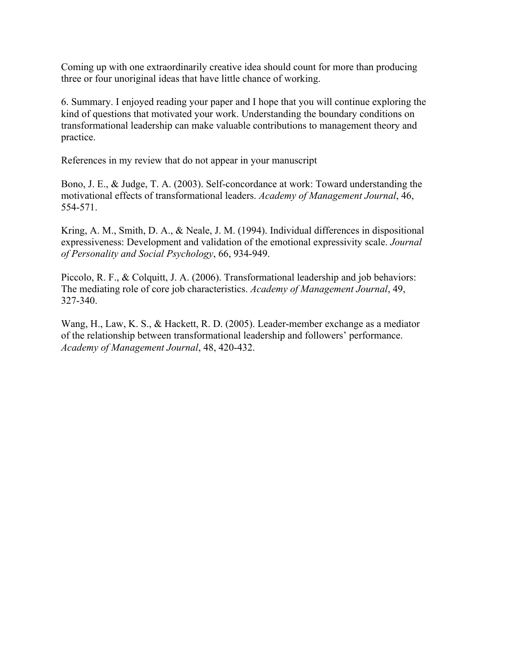Coming up with one extraordinarily creative idea should count for more than producing three or four unoriginal ideas that have little chance of working.

6. Summary. I enjoyed reading your paper and I hope that you will continue exploring the kind of questions that motivated your work. Understanding the boundary conditions on transformational leadership can make valuable contributions to management theory and practice.

References in my review that do not appear in your manuscript

Bono, J. E., & Judge, T. A. (2003). Self-concordance at work: Toward understanding the motivational effects of transformational leaders. *Academy of Management Journal*, 46, 554-571.

Kring, A. M., Smith, D. A., & Neale, J. M. (1994). Individual differences in dispositional expressiveness: Development and validation of the emotional expressivity scale. *Journal of Personality and Social Psychology*, 66, 934-949.

Piccolo, R. F., & Colquitt, J. A. (2006). Transformational leadership and job behaviors: The mediating role of core job characteristics. *Academy of Management Journal*, 49, 327-340.

Wang, H., Law, K. S., & Hackett, R. D. (2005). Leader-member exchange as a mediator of the relationship between transformational leadership and followers' performance. *Academy of Management Journal*, 48, 420-432.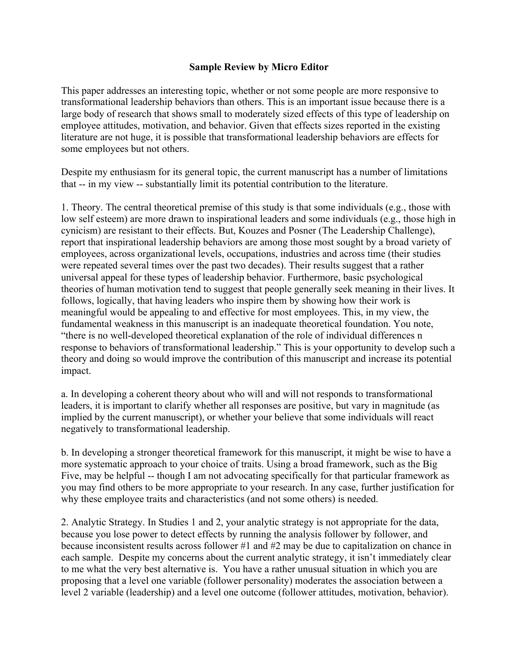This paper addresses an interesting topic, whether or not some people are more responsive to transformational leadership behaviors than others. This is an important issue because there is a large body of research that shows small to moderately sized effects of this type of leadership on employee attitudes, motivation, and behavior. Given that effects sizes reported in the existing literature are not huge, it is possible that transformational leadership behaviors are effects for some employees but not others.

Despite my enthusiasm for its general topic, the current manuscript has a number of limitations that -- in my view -- substantially limit its potential contribution to the literature.

1. Theory. The central theoretical premise of this study is that some individuals (e.g., those with low self esteem) are more drawn to inspirational leaders and some individuals (e.g., those high in cynicism) are resistant to their effects. But, Kouzes and Posner (The Leadership Challenge), report that inspirational leadership behaviors are among those most sought by a broad variety of employees, across organizational levels, occupations, industries and across time (their studies were repeated several times over the past two decades). Their results suggest that a rather universal appeal for these types of leadership behavior. Furthermore, basic psychological theories of human motivation tend to suggest that people generally seek meaning in their lives. It follows, logically, that having leaders who inspire them by showing how their work is meaningful would be appealing to and effective for most employees. This, in my view, the fundamental weakness in this manuscript is an inadequate theoretical foundation. You note, "there is no well-developed theoretical explanation of the role of individual differences n response to behaviors of transformational leadership." This is your opportunity to develop such a theory and doing so would improve the contribution of this manuscript and increase its potential impact.

a. In developing a coherent theory about who will and will not responds to transformational leaders, it is important to clarify whether all responses are positive, but vary in magnitude (as implied by the current manuscript), or whether your believe that some individuals will react negatively to transformational leadership.

b. In developing a stronger theoretical framework for this manuscript, it might be wise to have a more systematic approach to your choice of traits. Using a broad framework, such as the Big Five, may be helpful -- though I am not advocating specifically for that particular framework as you may find others to be more appropriate to your research. In any case, further justification for why these employee traits and characteristics (and not some others) is needed.

2. Analytic Strategy. In Studies 1 and 2, your analytic strategy is not appropriate for the data, because you lose power to detect effects by running the analysis follower by follower, and because inconsistent results across follower #1 and #2 may be due to capitalization on chance in each sample. Despite my concerns about the current analytic strategy, it isn't immediately clear to me what the very best alternative is. You have a rather unusual situation in which you are proposing that a level one variable (follower personality) moderates the association between a level 2 variable (leadership) and a level one outcome (follower attitudes, motivation, behavior).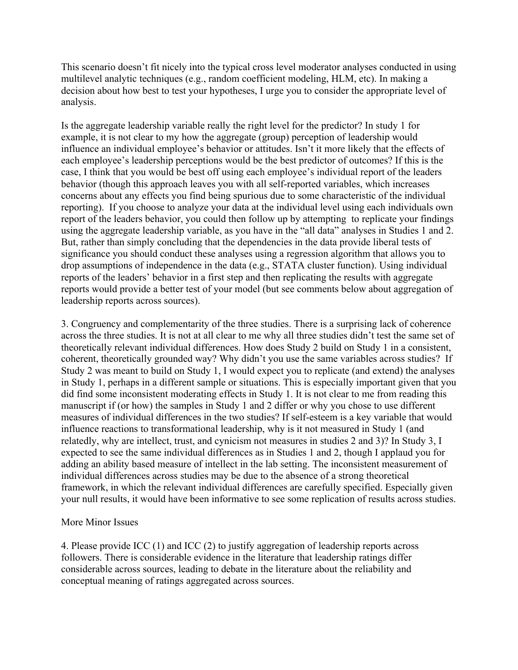This scenario doesn't fit nicely into the typical cross level moderator analyses conducted in using multilevel analytic techniques (e.g., random coefficient modeling, HLM, etc). In making a decision about how best to test your hypotheses, I urge you to consider the appropriate level of analysis.

Is the aggregate leadership variable really the right level for the predictor? In study 1 for example, it is not clear to my how the aggregate (group) perception of leadership would influence an individual employee's behavior or attitudes. Isn't it more likely that the effects of each employee's leadership perceptions would be the best predictor of outcomes? If this is the case, I think that you would be best off using each employee's individual report of the leaders behavior (though this approach leaves you with all self-reported variables, which increases concerns about any effects you find being spurious due to some characteristic of the individual reporting). If you choose to analyze your data at the individual level using each individuals own report of the leaders behavior, you could then follow up by attempting to replicate your findings using the aggregate leadership variable, as you have in the "all data" analyses in Studies 1 and 2. But, rather than simply concluding that the dependencies in the data provide liberal tests of significance you should conduct these analyses using a regression algorithm that allows you to drop assumptions of independence in the data (e.g., STATA cluster function). Using individual reports of the leaders' behavior in a first step and then replicating the results with aggregate reports would provide a better test of your model (but see comments below about aggregation of leadership reports across sources).

3. Congruency and complementarity of the three studies. There is a surprising lack of coherence across the three studies. It is not at all clear to me why all three studies didn't test the same set of theoretically relevant individual differences. How does Study 2 build on Study 1 in a consistent, coherent, theoretically grounded way? Why didn't you use the same variables across studies? If Study 2 was meant to build on Study 1, I would expect you to replicate (and extend) the analyses in Study 1, perhaps in a different sample or situations. This is especially important given that you did find some inconsistent moderating effects in Study 1. It is not clear to me from reading this manuscript if (or how) the samples in Study 1 and 2 differ or why you chose to use different measures of individual differences in the two studies? If self-esteem is a key variable that would influence reactions to transformational leadership, why is it not measured in Study 1 (and relatedly, why are intellect, trust, and cynicism not measures in studies 2 and 3)? In Study 3, I expected to see the same individual differences as in Studies 1 and 2, though I applaud you for adding an ability based measure of intellect in the lab setting. The inconsistent measurement of individual differences across studies may be due to the absence of a strong theoretical framework, in which the relevant individual differences are carefully specified. Especially given your null results, it would have been informative to see some replication of results across studies.

# More Minor Issues

4. Please provide ICC (1) and ICC (2) to justify aggregation of leadership reports across followers. There is considerable evidence in the literature that leadership ratings differ considerable across sources, leading to debate in the literature about the reliability and conceptual meaning of ratings aggregated across sources.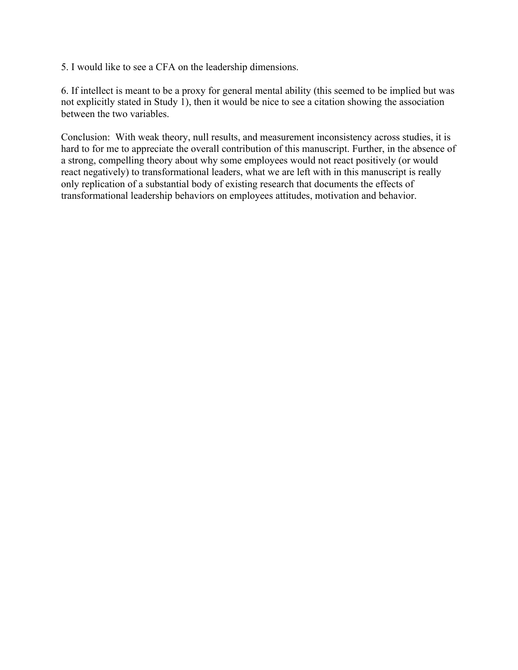5. I would like to see a CFA on the leadership dimensions.

6. If intellect is meant to be a proxy for general mental ability (this seemed to be implied but was not explicitly stated in Study 1), then it would be nice to see a citation showing the association between the two variables.

Conclusion: With weak theory, null results, and measurement inconsistency across studies, it is hard to for me to appreciate the overall contribution of this manuscript. Further, in the absence of a strong, compelling theory about why some employees would not react positively (or would react negatively) to transformational leaders, what we are left with in this manuscript is really only replication of a substantial body of existing research that documents the effects of transformational leadership behaviors on employees attitudes, motivation and behavior.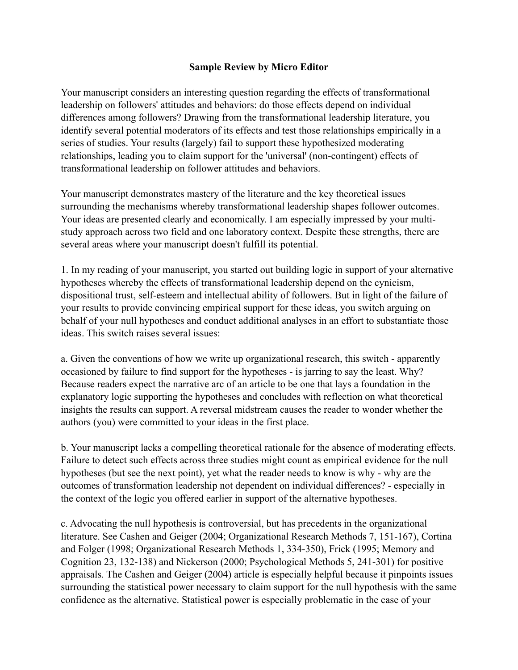Your manuscript considers an interesting question regarding the effects of transformational leadership on followers' attitudes and behaviors: do those effects depend on individual differences among followers? Drawing from the transformational leadership literature, you identify several potential moderators of its effects and test those relationships empirically in a series of studies. Your results (largely) fail to support these hypothesized moderating relationships, leading you to claim support for the 'universal' (non-contingent) effects of transformational leadership on follower attitudes and behaviors.

Your manuscript demonstrates mastery of the literature and the key theoretical issues surrounding the mechanisms whereby transformational leadership shapes follower outcomes. Your ideas are presented clearly and economically. I am especially impressed by your multistudy approach across two field and one laboratory context. Despite these strengths, there are several areas where your manuscript doesn't fulfill its potential.

1. In my reading of your manuscript, you started out building logic in support of your alternative hypotheses whereby the effects of transformational leadership depend on the cynicism, dispositional trust, self-esteem and intellectual ability of followers. But in light of the failure of your results to provide convincing empirical support for these ideas, you switch arguing on behalf of your null hypotheses and conduct additional analyses in an effort to substantiate those ideas. This switch raises several issues:

a. Given the conventions of how we write up organizational research, this switch - apparently occasioned by failure to find support for the hypotheses - is jarring to say the least. Why? Because readers expect the narrative arc of an article to be one that lays a foundation in the explanatory logic supporting the hypotheses and concludes with reflection on what theoretical insights the results can support. A reversal midstream causes the reader to wonder whether the authors (you) were committed to your ideas in the first place.

b. Your manuscript lacks a compelling theoretical rationale for the absence of moderating effects. Failure to detect such effects across three studies might count as empirical evidence for the null hypotheses (but see the next point), yet what the reader needs to know is why - why are the outcomes of transformation leadership not dependent on individual differences? - especially in the context of the logic you offered earlier in support of the alternative hypotheses.

c. Advocating the null hypothesis is controversial, but has precedents in the organizational literature. See Cashen and Geiger (2004; Organizational Research Methods 7, 151-167), Cortina and Folger (1998; Organizational Research Methods 1, 334-350), Frick (1995; Memory and Cognition 23, 132-138) and Nickerson (2000; Psychological Methods 5, 241-301) for positive appraisals. The Cashen and Geiger (2004) article is especially helpful because it pinpoints issues surrounding the statistical power necessary to claim support for the null hypothesis with the same confidence as the alternative. Statistical power is especially problematic in the case of your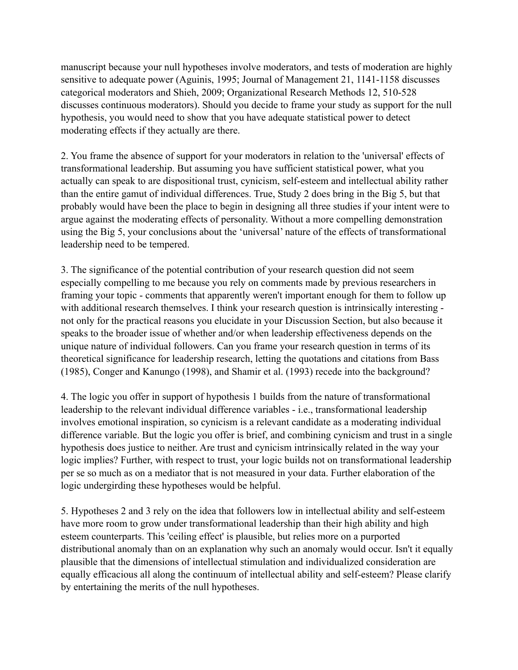manuscript because your null hypotheses involve moderators, and tests of moderation are highly sensitive to adequate power (Aguinis, 1995; Journal of Management 21, 1141-1158 discusses categorical moderators and Shieh, 2009; Organizational Research Methods 12, 510-528 discusses continuous moderators). Should you decide to frame your study as support for the null hypothesis, you would need to show that you have adequate statistical power to detect moderating effects if they actually are there.

2. You frame the absence of support for your moderators in relation to the 'universal' effects of transformational leadership. But assuming you have sufficient statistical power, what you actually can speak to are dispositional trust, cynicism, self-esteem and intellectual ability rather than the entire gamut of individual differences. True, Study 2 does bring in the Big 5, but that probably would have been the place to begin in designing all three studies if your intent were to argue against the moderating effects of personality. Without a more compelling demonstration using the Big 5, your conclusions about the 'universal' nature of the effects of transformational leadership need to be tempered.

3. The significance of the potential contribution of your research question did not seem especially compelling to me because you rely on comments made by previous researchers in framing your topic - comments that apparently weren't important enough for them to follow up with additional research themselves. I think your research question is intrinsically interesting not only for the practical reasons you elucidate in your Discussion Section, but also because it speaks to the broader issue of whether and/or when leadership effectiveness depends on the unique nature of individual followers. Can you frame your research question in terms of its theoretical significance for leadership research, letting the quotations and citations from Bass (1985), Conger and Kanungo (1998), and Shamir et al. (1993) recede into the background?

4. The logic you offer in support of hypothesis 1 builds from the nature of transformational leadership to the relevant individual difference variables - i.e., transformational leadership involves emotional inspiration, so cynicism is a relevant candidate as a moderating individual difference variable. But the logic you offer is brief, and combining cynicism and trust in a single hypothesis does justice to neither. Are trust and cynicism intrinsically related in the way your logic implies? Further, with respect to trust, your logic builds not on transformational leadership per se so much as on a mediator that is not measured in your data. Further elaboration of the logic undergirding these hypotheses would be helpful.

5. Hypotheses 2 and 3 rely on the idea that followers low in intellectual ability and self-esteem have more room to grow under transformational leadership than their high ability and high esteem counterparts. This 'ceiling effect' is plausible, but relies more on a purported distributional anomaly than on an explanation why such an anomaly would occur. Isn't it equally plausible that the dimensions of intellectual stimulation and individualized consideration are equally efficacious all along the continuum of intellectual ability and self-esteem? Please clarify by entertaining the merits of the null hypotheses.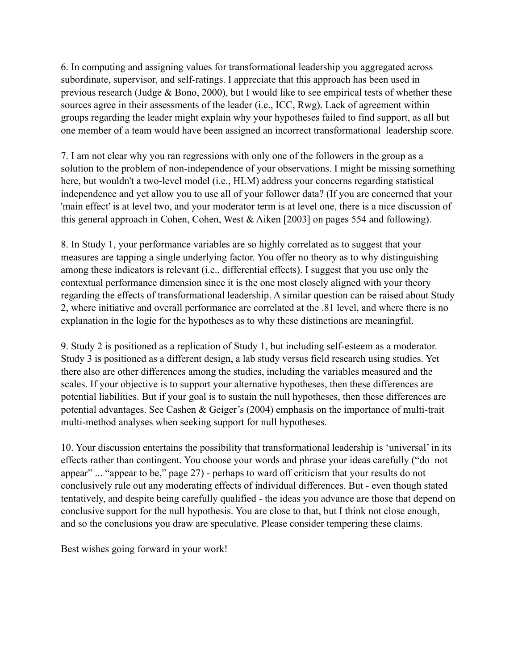6. In computing and assigning values for transformational leadership you aggregated across subordinate, supervisor, and self-ratings. I appreciate that this approach has been used in previous research (Judge & Bono, 2000), but I would like to see empirical tests of whether these sources agree in their assessments of the leader (i.e., ICC, Rwg). Lack of agreement within groups regarding the leader might explain why your hypotheses failed to find support, as all but one member of a team would have been assigned an incorrect transformational leadership score.

7. I am not clear why you ran regressions with only one of the followers in the group as a solution to the problem of non-independence of your observations. I might be missing something here, but wouldn't a two-level model (i.e., HLM) address your concerns regarding statistical independence and yet allow you to use all of your follower data? (If you are concerned that your 'main effect' is at level two, and your moderator term is at level one, there is a nice discussion of this general approach in Cohen, Cohen, West & Aiken [2003] on pages 554 and following).

8. In Study 1, your performance variables are so highly correlated as to suggest that your measures are tapping a single underlying factor. You offer no theory as to why distinguishing among these indicators is relevant (i.e., differential effects). I suggest that you use only the contextual performance dimension since it is the one most closely aligned with your theory regarding the effects of transformational leadership. A similar question can be raised about Study 2, where initiative and overall performance are correlated at the .81 level, and where there is no explanation in the logic for the hypotheses as to why these distinctions are meaningful.

9. Study 2 is positioned as a replication of Study 1, but including self-esteem as a moderator. Study 3 is positioned as a different design, a lab study versus field research using studies. Yet there also are other differences among the studies, including the variables measured and the scales. If your objective is to support your alternative hypotheses, then these differences are potential liabilities. But if your goal is to sustain the null hypotheses, then these differences are potential advantages. See Cashen & Geiger's (2004) emphasis on the importance of multi-trait multi-method analyses when seeking support for null hypotheses.

10. Your discussion entertains the possibility that transformational leadership is 'universal' in its effects rather than contingent. You choose your words and phrase your ideas carefully ("do not appear" ... "appear to be," page 27) - perhaps to ward off criticism that your results do not conclusively rule out any moderating effects of individual differences. But - even though stated tentatively, and despite being carefully qualified - the ideas you advance are those that depend on conclusive support for the null hypothesis. You are close to that, but I think not close enough, and so the conclusions you draw are speculative. Please consider tempering these claims.

Best wishes going forward in your work!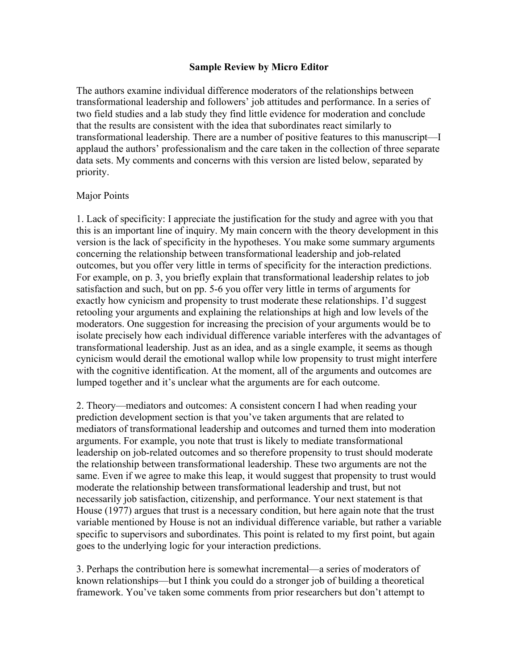The authors examine individual difference moderators of the relationships between transformational leadership and followers' job attitudes and performance. In a series of two field studies and a lab study they find little evidence for moderation and conclude that the results are consistent with the idea that subordinates react similarly to transformational leadership. There are a number of positive features to this manuscript—I applaud the authors' professionalism and the care taken in the collection of three separate data sets. My comments and concerns with this version are listed below, separated by priority.

#### Major Points

1. Lack of specificity: I appreciate the justification for the study and agree with you that this is an important line of inquiry. My main concern with the theory development in this version is the lack of specificity in the hypotheses. You make some summary arguments concerning the relationship between transformational leadership and job-related outcomes, but you offer very little in terms of specificity for the interaction predictions. For example, on p. 3, you briefly explain that transformational leadership relates to job satisfaction and such, but on pp. 5-6 you offer very little in terms of arguments for exactly how cynicism and propensity to trust moderate these relationships. I'd suggest retooling your arguments and explaining the relationships at high and low levels of the moderators. One suggestion for increasing the precision of your arguments would be to isolate precisely how each individual difference variable interferes with the advantages of transformational leadership. Just as an idea, and as a single example, it seems as though cynicism would derail the emotional wallop while low propensity to trust might interfere with the cognitive identification. At the moment, all of the arguments and outcomes are lumped together and it's unclear what the arguments are for each outcome.

2. Theory—mediators and outcomes: A consistent concern I had when reading your prediction development section is that you've taken arguments that are related to mediators of transformational leadership and outcomes and turned them into moderation arguments. For example, you note that trust is likely to mediate transformational leadership on job-related outcomes and so therefore propensity to trust should moderate the relationship between transformational leadership. These two arguments are not the same. Even if we agree to make this leap, it would suggest that propensity to trust would moderate the relationship between transformational leadership and trust, but not necessarily job satisfaction, citizenship, and performance. Your next statement is that House (1977) argues that trust is a necessary condition, but here again note that the trust variable mentioned by House is not an individual difference variable, but rather a variable specific to supervisors and subordinates. This point is related to my first point, but again goes to the underlying logic for your interaction predictions.

3. Perhaps the contribution here is somewhat incremental—a series of moderators of known relationships—but I think you could do a stronger job of building a theoretical framework. You've taken some comments from prior researchers but don't attempt to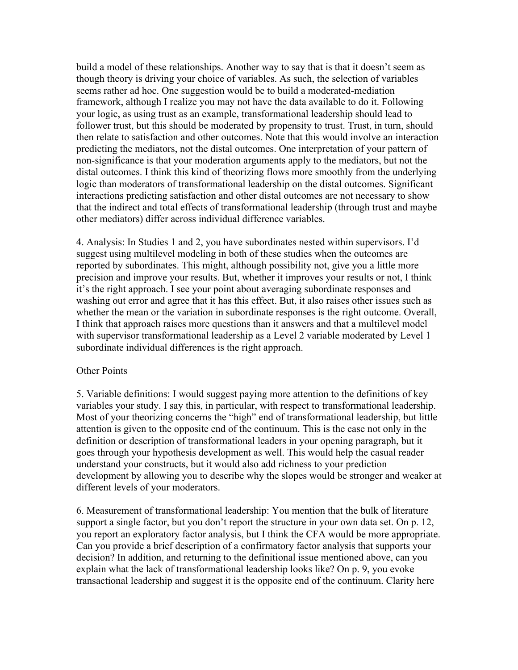build a model of these relationships. Another way to say that is that it doesn't seem as though theory is driving your choice of variables. As such, the selection of variables seems rather ad hoc. One suggestion would be to build a moderated-mediation framework, although I realize you may not have the data available to do it. Following your logic, as using trust as an example, transformational leadership should lead to follower trust, but this should be moderated by propensity to trust. Trust, in turn, should then relate to satisfaction and other outcomes. Note that this would involve an interaction predicting the mediators, not the distal outcomes. One interpretation of your pattern of non-significance is that your moderation arguments apply to the mediators, but not the distal outcomes. I think this kind of theorizing flows more smoothly from the underlying logic than moderators of transformational leadership on the distal outcomes. Significant interactions predicting satisfaction and other distal outcomes are not necessary to show that the indirect and total effects of transformational leadership (through trust and maybe other mediators) differ across individual difference variables.

4. Analysis: In Studies 1 and 2, you have subordinates nested within supervisors. I'd suggest using multilevel modeling in both of these studies when the outcomes are reported by subordinates. This might, although possibility not, give you a little more precision and improve your results. But, whether it improves your results or not, I think it's the right approach. I see your point about averaging subordinate responses and washing out error and agree that it has this effect. But, it also raises other issues such as whether the mean or the variation in subordinate responses is the right outcome. Overall, I think that approach raises more questions than it answers and that a multilevel model with supervisor transformational leadership as a Level 2 variable moderated by Level 1 subordinate individual differences is the right approach.

#### Other Points

5. Variable definitions: I would suggest paying more attention to the definitions of key variables your study. I say this, in particular, with respect to transformational leadership. Most of your theorizing concerns the "high" end of transformational leadership, but little attention is given to the opposite end of the continuum. This is the case not only in the definition or description of transformational leaders in your opening paragraph, but it goes through your hypothesis development as well. This would help the casual reader understand your constructs, but it would also add richness to your prediction development by allowing you to describe why the slopes would be stronger and weaker at different levels of your moderators.

6. Measurement of transformational leadership: You mention that the bulk of literature support a single factor, but you don't report the structure in your own data set. On p. 12, you report an exploratory factor analysis, but I think the CFA would be more appropriate. Can you provide a brief description of a confirmatory factor analysis that supports your decision? In addition, and returning to the definitional issue mentioned above, can you explain what the lack of transformational leadership looks like? On p. 9, you evoke transactional leadership and suggest it is the opposite end of the continuum. Clarity here